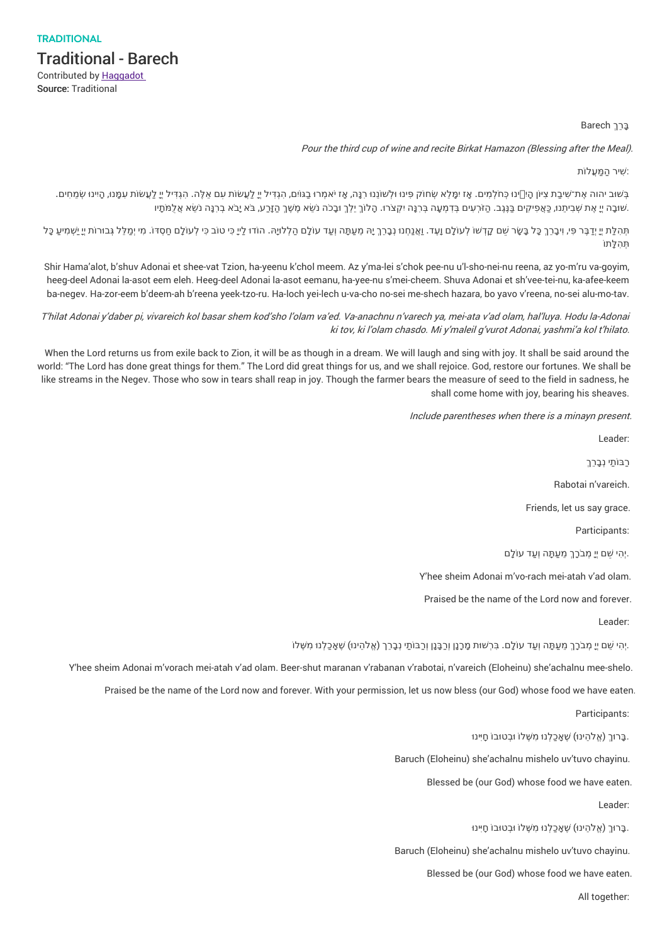## בָּרֵךְ Barech

Pour the third cup of wine and recite Birkat Hamazon (Blessing after the Meal).

: ִׁשיר ַה ַּמ ֲעל ֹות

בְּשׁוּב יהוה אֶת־שִׁיבַת צִיּוֹן הַיִּ∏ינוּ כְּחֹלְמִים. אֶז וּמָלֵא שְׂחוֹק פִּינוּ וּלְשוֹנֵנוּ רִבָּה, אֶז יֹאמְרוּ בַגּוֹים, הִגְדִּיל יְיֵ לַעֲשׂוֹת עִם אֶלֶה. הִגְדִּיל יְיֵ לַעֲשׂוֹת עִמָּנוּ, הָיִנוּ שְׂמָחִים. ְשׁוּבָה יְיֵ אֶת שְׁבִיתֵנו, כַּאֲפִיקִים בַּנֶּגֶב. הַזֹּרְעִים בְּדָמְעָה בְּרִנָּה יִקְצֹרוּ. הָלוֹךְ יֵלֶךְ וּבָכֹה נֹשֵׂא מֶשֶׁךְ הַזָּרַע, בֹּא יָבֹא בְרִנָּה נֹשֵׂא אֶלֶמֹתָיו

תְּהָלַת יְיֶיְדַבְּר פִּי, וִיבָרֵךְ כָּל בָּשָׂר שֶׁם קָדְשׁוֹ לְעוֹלָם וָעָד. וַאֲנַחְנוּ נְבָרֵךְ יָהּ מֶעַתָּה וְעַד עוֹלָם הֶלְלוּיָה. הוֹדוּ לַיָיָכִּי טוֹב כִּי לְעוֹלָם חַסְדּוֹ. מִי יְמַלֵּל גְּבוּרוֹת יְיֵ שְׁמִ ּתְ ִהלָּת ֹו

Shir Hama'alot, b'shuv Adonai et shee-vat Tzion, ha-yeenu k'chol meem. Az y'ma-lei s'chok pee-nu u'l-sho-nei-nu reena, az yo-m'ru va-goyim, heeg-deel Adonai la-asot eem eleh. Heeg-deel Adonai la-asot eemanu, ha-yee-nu s'mei-cheem. Shuva Adonai et sh'vee-tei-nu, ka-afee-keem ba-negev. Ha-zor-eem b'deem-ah b'reena yeek-tzo-ru. Ha-loch yei-lech u-va-cho no-sei me-shech hazara, bo yavo v'reena, no-sei alu-mo-tav.

T'hilat Adonai y'daber pi, vivareich kol basar shem kod'sho l'olam va'ed. Va-anachnu <sup>n</sup>'varech ya, mei-ata <sup>v</sup>'ad olam, hal'luya. Hodu la-Adonai ki tov, ki l'olam chasdo. Mi y'maleil g'vurot Adonai, yashmi'a kol <sup>t</sup>'hilato.

When the Lord returns us from exile back to Zion, it will be as though in a dream. We will laugh and sing with joy. It shall be said around the world: "The Lord has done great things for them." The Lord did great things for us, and we shall rejoice. God, restore our fortunes. We shall be like streams in the Negev. Those who sow in tears shall reap in joy. Though the farmer bears the measure of seed to the field in sadness, he shall come home with joy, bearing his sheaves.

Include parentheses when there is <sup>a</sup> minayn present.

Leader:

רַבּ ֹותַי נְבָרֵךְ

Rabotai n'vareich.

Friends, let us say grace.

Participants:

יִהי שם ייֵ מְבֹרֵךְ מַעֲתֵּה וְעַד עוֹלַם.

Y'hee sheim Adonai m'vo-rach mei-atah v'ad olam.

Praised be the name of the Lord now and forever.

Leader:

יְהִי שֵׁם יְיָ מְבֹכָךְ מֵעַתָּה וְעַד עוֹלָם. בִּרְשׁוּת מָרָנָן וְרַבָּנָן וְרַבּוֹתַי נְבָרֵך (אֱלֹהֵינוּ) שֶׁאֲכַלְנוּ מִשֶּׁלוֹ.

Y'hee sheim Adonai m'vorach mei-atah v'ad olam. Beer-shut maranan v'rabanan v'rabotai, n'vareich (Eloheinu) she'achalnu mee-shelo.

Praised be the name of the Lord now and forever. With your permission, let us now bless (our God) whose food we have eaten.

Participants:

ַּבָּרוּךְ (אֱלֹהֵינוּ) שֶׁאֲכַלְנוּ מִשֶּׁלוֹ וּבְטוּבוֹ חָיִּינוּ.

Baruch (Eloheinu) she'achalnu mishelo uv'tuvo chayinu.

Blessed be (our God) whose food we have eaten.

Leader:

ַבָּרוּךְ (אֱלֹהֵינוּ) שֶׁאֲכַלְנוּ מִשֶּׁלוֹ וּבְטוּבוֹ חָיִּינו.

Baruch (Eloheinu) she'achalnu mishelo uv'tuvo chayinu.

Blessed be (our God) whose food we have eaten.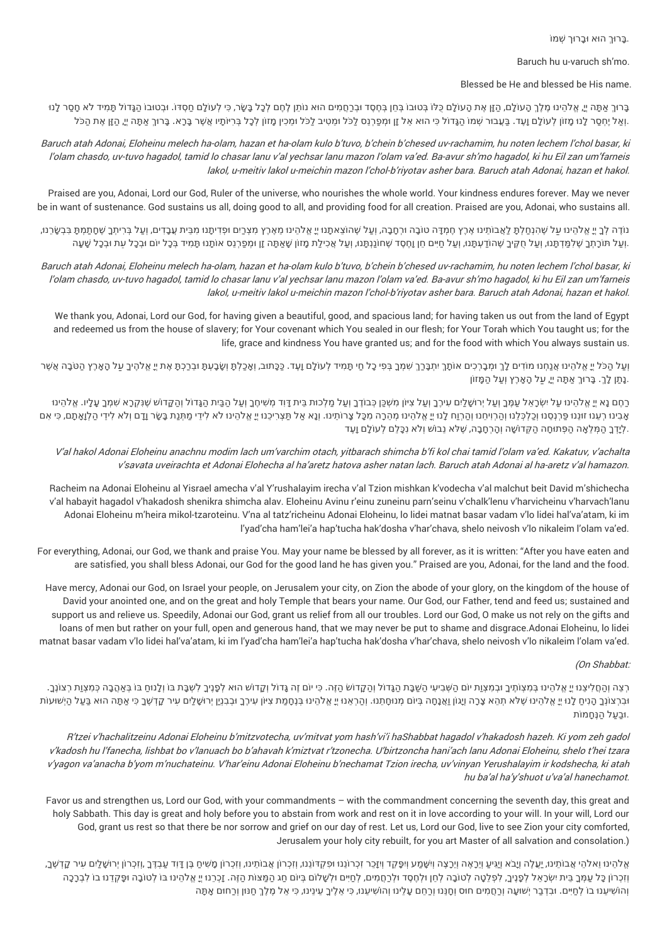ָבַּרוּר הוּא וּבַרוּר שׁמוֹ.

Baruch hu u-varuch sh'mo.

Blessed be He and blessed be His name.

בָּרוּךְ אַתָּה יְיָ אֱלֹהֵינוּ מֶלֶךְ הָעוֹלָם, הַזֵּן אֶת הָעוֹלָם כֻּלוֹ בְּטוּבוֹ בְּחַן בְּחֶסֶד וּבְרַחֲמִים הוּא נוֹתֵן לֶחֶם לְכָל בָּשֶׂר, כִּי לְעוֹלָם חַסְדּוֹ. וּבְטוּבוֹ הַגָּדוֹל תַּמִיד לֹא חָסַר לָנוּ ּוְאַל יֶחְסַר לָנוּ מָזוֹן לְעוֹלָם וָעָד. בַּעֲבוּר שְׁמוֹ הַגָּדוֹל כִּי הוּא אֵל זֵן וּמְפַרְנֵס לַכֹּל וּמֵטִיב לַכֹּל וּמֵכִין מָזוֹן לְכָל בְּרִיוֹתָיו אֲשֶׁר בָּכָא. בָּרוּךְ אַתָּה יְיֶ הַזֵּן אָת הַכֹּל

Baruch atah Adonai, Eloheinu melech ha-olam, hazan et ha-olam kulo b'tuvo, b'chein b'chesed uv-rachamim, hu noten lechem l'chol basar, ki l'olam chasdo, uv-tuvo hagadol, tamid lo chasar lanu <sup>v</sup>'al yechsar lanu mazon l'olam va'ed. Ba-avur sh'mo hagadol, ki hu Eil zan um'farneis lakol, u-meitiv lakol u-meichin mazon l'chol-b'riyotav asher bara. Baruch atah Adonai, hazan et hakol.

Praised are you, Adonai, Lord our God, Ruler of the universe, who nourishes the whole world. Your kindness endures forever. May we never be in want of sustenance. God sustains us all, doing good to all, and providing food for all creation. Praised are you, Adonai, who sustains all.

נוֹדֶה לְרָיֶי אֱלֹהֵינוּ עַל שֶׁהַנְחֲלָתָּ לַאֲבוֹתֵינוּ אֶרֶץ חֶמְדָּה טוֹבָה וּרְחָבָה, וְעַל שָׁהוֹצֵאתָנוּ יְי אֱלֹהֵינוּ מֵאֶרֶץ מִצְרַים וּפְדִיתָנוּ מִבֶּית מִנְבּה וּרְחָבָה, וְעַל שָׁהוֹצֵאתָנוּ יְיָ אֱלֹהֵינוּ ְוַעַל תּוֹכָתְךָ שֶׁלְמַּדְתָּנוּ, וְעַל חֻקִּיךָ שָׁהוֹדַעְתָּנוּ, וְעַל חַיִּים חֵן וָחֶסֶד שֶׁחוֹנַנְתָּנו, וְעַל אֲכִילַת מָזוֹן שָׁאַתָּה זָן וּמְפַרְנֵס אוֹתָנוּ תָּמִיד בְּכָל יוֹם וּבְכָל עַת וּבְכָל שָׁעָה

Baruch atah Adonai, Eloheinu melech ha-olam, hazan et ha-olam kulo b'tuvo, b'chein b'chesed uv-rachamim, hu noten lechem l'chol basar, ki l'olam chasdo, uv-tuvo hagadol, tamid lo chasar lanu <sup>v</sup>'al yechsar lanu mazon l'olam va'ed. Ba-avur sh'mo hagadol, ki hu Eil zan um'farneis lakol, u-meitiv lakol u-meichin mazon l'chol-b'riyotav asher bara. Baruch atah Adonai, hazan et hakol.

We thank you, Adonai, Lord our God, for having given a beautiful, good, and spacious land; for having taken us out from the land of Egypt and redeemed us from the house of slavery; for Your covenant which You sealed in our flesh; for Your Torah which You taught us; for the life, grace and kindness You have granted us; and for the food with which You always sustain us.

וְעַל הַכֹּל יְיָ אֱלֹהֵינוּ אֲנַחְנוּ מוֹדִים לַךְ וּמְבָרְכִים אוֹתָךְ וּתְבָּרַךְ שִׁמְרָ בְּפִי כָל חַי תָּמִיד לְעוֹלָם וָעָד. כַּכֵּתוּג, וְאָכַלְתָּ וְשָׂבָעְתָּ וּבֵרַכְתָּ אָת יִי אֱלֹהָירֵ עַל הָאָכֶץ הַטֹּבָה אֲ **ָנַתַן לַךְ. בַּרוּךְ אַתַּה ייֵ, על הַאַרֵץ וְעַל הַמַּזוֹן.** 

רחֶם נֵא יֵי אֱלֹהִינוּ על יִשְׂרָאל עמֶּךָ וְעל יָרוּשֲלִים עירֶךָ וְעל צִיּוֹן מֹשְכַּן כָּבוֹדֶךָ וְעל מלכוּת בִּית דָּוד מִשִׁיחַךָ וְעל הַבּוּת הַגַּדוֹל וְהַקֲדוֹש שֶׁנַּקְרָא שִׁמְרָ עֲלָיו. אֱלֹהִינוּ אָבִינוּ רְעֲנוּ זוּנֵנוּ פַּרְנְסֵנוּ וְכַלְכְּלֵנוּ וְהַרְוְיְחַנוּ וְהַרְוֵח לָנוּ יֵי אֱלֹהֵינוּ מְהָרָה מְכָּל צָרוֹתֵינוּ. וְנָא אַל תַּאֲרְיָכֵוּ יָ אֱלֹהֵינוּ מִהֲכָה מְכָּל צָרוֹתֵינוּ. וְנָא אַל תַּאֲרֹיֵכְנוּ יָ .לְיַדְךָ הִמְּלֹאֲה הַפְּתוּחַה הַקָּדוֹשַׁה וְהַרְחַבָה, שֶׁלֹּא נִבוֹשׁ וְלֹא נַכַּלֹם לְעוֹלַם וַעֲד

V'al hakol Adonai Eloheinu anachnu modim lach um'varchim otach, yitbarach shimcha b'fi kol chai tamid l'olam va'ed. Kakatuv, <sup>v</sup>'achalta <sup>v</sup>'savata uveirachta et Adonai Elohecha al ha'aretz hatova asher natan lach. Baruch atah Adonai al ha-aretz <sup>v</sup>'al hamazon.

Racheim na Adonai Eloheinu al Yisrael amecha v'al Y'rushalayim irecha v'al Tzion mishkan k'vodecha v'al malchut beit David m'shichecha v'al habayit hagadol v'hakadosh shenikra shimcha alav. Eloheinu Avinu r'einu zuneinu parn'seinu v'chalk'lenu v'harvicheinu v'harvach'lanu Adonai Eloheinu m'heira mikol-tzaroteinu. V'na al tatz'richeinu Adonai Eloheinu, lo lidei matnat basar vadam v'lo lidei hal'va'atam, ki im l'yad'cha ham'lei'a hap'tucha hak'dosha v'har'chava, shelo neivosh v'lo nikaleim l'olam va'ed.

For everything, Adonai, our God, we thank and praise You. May your name be blessed by all forever, as it is written: "After you have eaten and are satisfied, you shall bless Adonai, our God for the good land he has given you." Praised are you, Adonai, for the land and the food.

Have mercy, Adonai our God, on Israel your people, on Jerusalem your city, on Zion the abode of your glory, on the kingdom of the house of David your anointed one, and on the great and holy Temple that bears your name. Our God, our Father, tend and feed us; sustained and support us and relieve us. Speedily, Adonai our God, grant us relief from all our troubles. Lord our God, O make us not rely on the gifts and loans of men but rather on your full, open and generous hand, that we may never be put to shame and disgrace.Adonai Eloheinu, lo lidei matnat basar vadam v'lo lidei hal'va'atam, ki im l'yad'cha ham'lei'a hap'tucha hak'dosha v'har'chava, shelo neivosh v'lo nikaleim l'olam va'ed.

## (On Shabbat:

רְצָה וְהַחֲלִיצָנוּ יָיָ אֱלֹהִינוּ בְּמִצְוֹתֶיךָ וּבְמִצְוַת יוֹם הַשִּׁבִיעי הַשַּׁבָּת הַגָּדוֹל וְהַקָדוֹשׂ הַזֶּה. כִּי יוֹם זֶה גָּדוֹל וְקָדוֹשׁ הוּא לְפָנֶיךָ לְשָׁבָת בּוֹ זְלָנוּחַ בּוֹ בְּאַהֲבָה כְּמִצְוַת רְ וּבִרְצוֹנְךָ הָנִיחַ לָנוּ יָיֵ אֱלֹהִינוּ שָׁלֹא תְהֵא צָכָה וְעוֹן וַאֲנָחָה בִּיוֹם מְנוּחָתֵנוּ. וְהַרְאֶנוּ יְיֶ אֱלֹהִינוּ בְּנֶחָם בְּוֹח מְנוֹחַתֵנוּ. וְהַרְאֶנוּ יְיֶ אֱלֹהִינוּ אֲלֹהָינוּ שָׁלֹא תְהֵא צָכָה וְעו .ו ּבַ ַעל ַהנֶָּחמ ֹות

R'tzei <sup>v</sup>'hachalitzeinu Adonai Eloheinu b'mitzvotecha, uv'mitvat yom hash'vi'i haShabbat hagadol <sup>v</sup>'hakadosh hazeh. Ki yom zeh gadol <sup>v</sup>'kadosh hu l'fanecha, lishbat bo <sup>v</sup>'lanuach bo b'ahavah k'miztvat <sup>r</sup>'tzonecha. U'birtzoncha hani'ach lanu Adonai Eloheinu, shelo t'hei tzara <sup>v</sup>'yagon va'anacha b'yom <sup>m</sup>'nuchateinu. V'har'einu Adonai Eloheinu b'nechamat Tzion irecha, uv'vinyan Yerushalayim ir kodshecha, ki atah hu ba'al ha'y'shuot <sup>u</sup>'va'al hanechamot.

Favor us and strengthen us, Lord our God, with your commandments – with the commandment concerning the seventh day, this great and holy Sabbath. This day is great and holy before you to abstain from work and rest on it in love according to your will. In your will, Lord our God, grant us rest so that there be nor sorrow and grief on our day of rest. Let us, Lord our God, live to see Zion your city comforted, Jerusalem your holy city rebuilt, for you art Master of all salvation and consolation.)

אֱלהֵינוּ וַאלהֵי אֲבוֹתִינוּ, יַעֲלָה וְיָבֹא וְיֵגִיעַ וְיָבָאָה וְיִצָמַע וְיִפָּקַד וְיִזָּבַר זְכְרוֹנֵנוּ וּפִקְדּוֹנֵנוּ, וְזְכָרוֹן אֲבוֹתֵינוּ, וְזְכְרוֹן מָשִׁיחַ בָּדְדָךָ ,וְזְכָרוֹן יְרוֹשָׁלַיִם עִיר קָדְשֶׁך וַזְכְרוֹן כָּל עַמְּךָ בֵּית יִשְׂכָאֶל לְפָנֶיךָ, לִפְלֵטֶה לְטוֹבָה לְחֵן וּלְחֶסֶד וּלְכַחֲמִים, לְחַיִּם וּלְשָׁלוֹם בִּיוֹם חַג הַמַּצוֹת הַזֶּה. זָכְרֵנוּ יֵי אֱלֹהֵינוּ בּוֹ לְטוֹבָה וּפָקְדֵנוּ בוֹ לְבְרָכָה וְהוֹשִׁיעֲנוּ בוֹ לְחַיִּים. וּבִדְבֵר יְשׁוּעָה וְרַחֲמִים חוּס וְחָנֵּנוּ וְרַחֵם עָלֵינוּ וְהוֹשִׁיעֲנוּ, כִּי אֱלָי מֶעלֶךְ חֲנוּן וְרַחוּם אָתָּה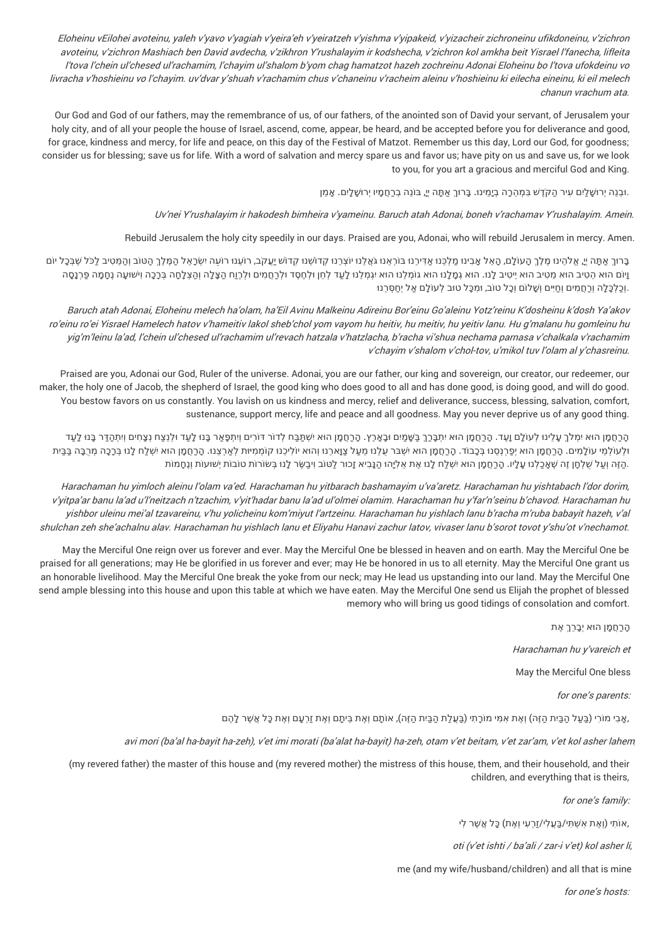Eloheinu vEilohei avoteinu, yaleh <sup>v</sup>'yavo <sup>v</sup>'yagiah <sup>v</sup>'yeira'eh <sup>v</sup>'yeiratzeh <sup>v</sup>'yishma <sup>v</sup>'yipakeid, <sup>v</sup>'yizacheir zichroneinu ufikdoneinu, <sup>v</sup>'zichron avoteinu, <sup>v</sup>'zichron Mashiach ben David avdecha, <sup>v</sup>'zikhron Y'rushalayim ir kodshecha, <sup>v</sup>'zichron kol amkha beit Yisrael l'fanecha, lifleita l'tova l'chein ul'chesed ul'rachamim, l'chayim ul'shalom b'yom chag hamatzot hazeh zochreinu Adonai Eloheinu bo l'tova ufokdeinu vo livracha <sup>v</sup>'hoshieinu vo l'chayim. uv'dvar y'shuah <sup>v</sup>'rachamim chus <sup>v</sup>'chaneinu <sup>v</sup>'racheim aleinu <sup>v</sup>'hoshieinu ki eilecha eineinu, ki eil melech chanun vrachum ata.

Our God and God of our fathers, may the remembrance of us, of our fathers, of the anointed son of David your servant, of Jerusalem your holy city, and of all your people the house of Israel, ascend, come, appear, be heard, and be accepted before you for deliverance and good, for grace, kindness and mercy, for life and peace, on this day of the Festival of Matzot. Remember us this day, Lord our God, for goodness; consider us for blessing; save us for life. With a word of salvation and mercy spare us and favor us; have pity on us and save us, for we look to you, for you art a gracious and merciful God and King.

ּוּבָה יְרוּשָׁלַיִם עִיר הַקֹּדֶשׁ בִּמְהֶרָה בְיָמֵינוּ. בָּרוּךְ אַתָּה יְיָ, בּוֹנֵה בְרַחֲמָיו יְרוּשָׁלָים. אָמֶן.

Uv'nei Y'rushalayim ir hakodesh bimheira <sup>v</sup>'yameinu. Baruch atah Adonai, boneh <sup>v</sup>'rachamav Y'rushalayim. Amein.

Rebuild Jerusalem the holy city speedily in our days. Praised are you, Adonai, who will rebuild Jerusalem in mercy. Amen.

בָּרוּךְ אַתָּה יְיָ אֱלֹהֶינוּ מֶלֶךְ הָעוֹלָם, הָאֵל אָבִינוּ מַלְכֵּנוּ אַדִּיְרַנוּ בּוֹרְאָנוּ גֹּאֲלֵנוּ יוֹצְרֵנוּ קדושׁנוּ קדושׁ יַעֲקֹב, רוֹעֵנוּ רוֹעָה יִשְׂרָאֶל הַמֶּלֶךְ הַטוֹב וְהַמֵּטִיב לַכֹּל שֶׁבְּכָל יוֹ וָיוֹם הוּא הֵטִיב הוּא מֵטִיב הוּא יֵיטִיב לָנוּ. הוּא גְמָלָנוּ הוּא גוֹמְלֵנוּ הוּא יִגְמְלַנוּ לָטֵן וּלְחֶסָד וּלְרַחֲמִים וּלְרָוַח הַצָּלָה וְהַצְלָחָה בְּרָכָה וִישׁוּעָה נֶחָמָה פַּרְנָסָה וְכַלְכָּלָה וְרַחֲמִים וְחַיִּם וְשָׁלוֹם וְכָל טוֹב, וּמִכָּל טוּב לְעוֹלָם אַל יְחַסְּרֵנוּ.

Baruch atah Adonai, Eloheinu melech ha'olam, ha'Eil Avinu Malkeinu Adireinu Bor'einu Go'aleinu Yotz'reinu K'dosheinu k'dosh Ya'akov ro'einu ro'ei Yisrael Hamelech hatov <sup>v</sup>'hameitiv lakol sheb'chol yom vayom hu heitiv, hu meitiv, hu yeitiv lanu. Hu g'malanu hu gomleinu hu yig'm'leinu la'ad, l'chein ul'chesed ul'rachamim ul'revach hatzala <sup>v</sup>'hatzlacha, b'racha vi'shua nechama parnasa <sup>v</sup>'chalkala <sup>v</sup>'rachamim <sup>v</sup>'chayim <sup>v</sup>'shalom <sup>v</sup>'chol-tov, <sup>u</sup>'mikol tuv l'olam al y'chasreinu.

Praised are you, Adonai our God, Ruler of the universe. Adonai, you are our father, our king and sovereign, our creator, our redeemer, our maker, the holy one of Jacob, the shepherd of Israel, the good king who does good to all and has done good, is doing good, and will do good. You bestow favors on us constantly. You lavish on us kindness and mercy, relief and deliverance, success, blessing, salvation, comfort, sustenance, support mercy, life and peace and all goodness. May you never deprive us of any good thing.

הרחמן הוא ימלך עלינו לעולם ועד. הרחמן הוא יתברך בשמים ובארץ. הרחמן הוא ישתבח לדור דורים ויתפאר בנו לעד ולנצח נצחים ויתהדר בנו לעד ולעולמי עולמים. הַרַחֲמָן הוא יְפַרְנְסֵנוּ בְּכָבוֹד. הַרַחֲמָן הוא יִשְׁבּר עָלֵנוּ מֵעַל צַנַארֶנוּ וְהוא יוֹלִיכֵנוּ קוֹמְמִיּוּת לְאַרְצֶנוּ. הַרַחֲמָן הוא הַרַחֲמָן הוא יִשְׁבּר עָלֶנוּ מֵעַל צַנַארֶנוּ וְהוּא יוֹלִי ָהַזֶּה וְעַל שָׁלְחָן זֶה שָׁאָכַלְנוּ עָלָיו. הָרַחֲמֶן הוּא יִשְׁלַח לָנוּ אֶת אֶלְיָהוּ הַנָּבִיא זָכוּר לַטוֹב וְיבַשֶּׂר לָנוּ בְּשוֹרוֹת טוֹבוֹת יְשוֹעוֹת וְנֶחָמוֹת

Harachaman hu yimloch aleinu l'olam va'ed. Harachaman hu yitbarach bashamayim <sup>u</sup>'va'aretz. Harachaman hu yishtabach l'dor dorim, <sup>v</sup>'yitpa'ar banu la'ad <sup>u</sup>'l'neitzach <sup>n</sup>'tzachim, <sup>v</sup>'yit'hadar banu la'ad ul'olmei olamim. Harachaman hu y'far'n'seinu b'chavod. Harachaman hu yishbor uleinu mei'al tzavareinu, <sup>v</sup>'hu yolicheinu kom'miyut l'artzeinu. Harachaman hu yishlach lanu b'racha <sup>m</sup>'ruba babayit hazeh, <sup>v</sup>'al shulchan zeh she'achalnu alav. Harachaman hu yishlach lanu et Eliyahu Hanavi zachur latov, vivaser lanu b'sorot tovot y'shu'ot <sup>v</sup>'nechamot.

May the Merciful One reign over us forever and ever. May the Merciful One be blessed in heaven and on earth. May the Merciful One be praised for all generations; may He be glorified in us forever and ever; may He be honored in us to all eternity. May the Merciful One grant us an honorable livelihood. May the Merciful One break the yoke from our neck; may He lead us upstanding into our land. May the Merciful One send ample blessing into this house and upon this table at which we have eaten. May the Merciful One send us Elijah the prophet of blessed memory who will bring us good tidings of consolation and comfort.

ָהָרַחֲמָן הוּא יְבָרֵךְ אֶת

Harachaman hu y'vareich et

May the Merciful One bless

for one's parents:

ָאָבִי מוֹרִי (בַּעל הבֵּיִת הזֶּה) וְאֶת אמִי מוֹרָתִי (בַּעֱלֹת הבֵּיִת הזֶּה), אוֹתֵם וְאֶת בִּיתַם וְאֶת זַרְעַם וְאֶת כָּל אֲשֶׁר לַהֶם,

avi mori (ba'al ha-bayit ha-zeh), <sup>v</sup>'et imi morati (ba'alat ha-bayit) ha-zeh, otam <sup>v</sup>'et beitam, <sup>v</sup>'et zar'am, <sup>v</sup>'et kol asher lahem,

(my revered father) the master of this house and (my revered mother) the mistress of this house, them, and their household, and their children, and everything that is theirs,

for one's family:

,אוֹתִי (וְאֶת אִשְׁתִּי/<u>בַּעֲלִי/ז</u>ַרְעִי וְאֶת) כָּל אֲשֵׁר לִי

oti (v'et ishti / ba'ali / zar-i <sup>v</sup>'et) kol asher li,

me (and my wife/husband/children) and all that is mine

for one's hosts: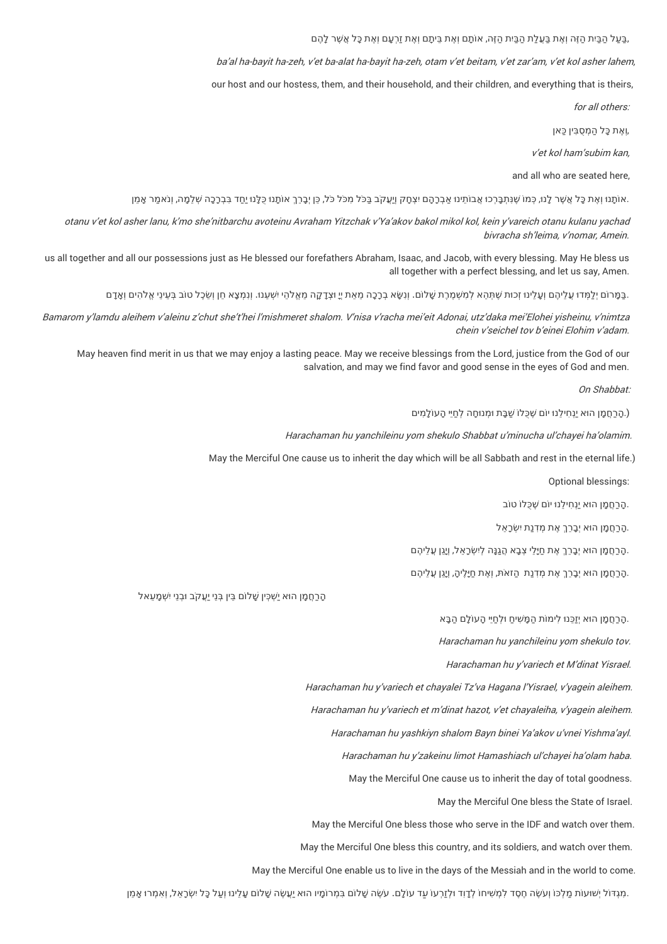בַּעֲל הַבֵּיִת הַזֶּה וְאֶת בַּעֲלַת הַבֵּיִת הַזֶּה, אוֹתָם וְאֶת בֵּיתָם וְאֶת זַרְעָם וְאֶת כַּל אֲשֶׁר לַהֶם,

ba'al ha-bayit ha-zeh, <sup>v</sup>'et ba-alat ha-bayit ha-zeh, otam <sup>v</sup>'et beitam, <sup>v</sup>'et zar'am, <sup>v</sup>'et kol asher lahem,

our host and our hostess, them, and their household, and their children, and everything that is theirs,

for all others:

,וְ ֶאת כָּל ַה ְמ ֻסבִּין כַּאן

<sup>v</sup>'et kol ham'subim kan,

and all who are seated here,

ָאוֹתָנוּ וְאֶת כָּל אֲשֶׁר לָנוּ, כְּמוֹ שֶׁנִּתְבָּרְכוּ אֲבוֹתֵינוּ אַבְרָהָם יִצְחַק וַיַּעֲקֹר בַּכֹּל כִּל כֹּל, כֵּן יְבָרֶךָ אוֹתָנוּ כַּלָּנוּ יַחַד בִּבְרָכָה שְׁלָמָה, וְנֹאמַר אָמַן "נִ

otanu <sup>v</sup>'et kol asher lanu, k'mo she'nitbarchu avoteinu Avraham Yitzchak <sup>v</sup>'Ya'akov bakol mikol kol, kein y'vareich otanu kulanu yachad bivracha sh'leima, <sup>v</sup>'nomar, Amein.

us all together and all our possessions just as He blessed our forefathers Abraham, Isaac, and Jacob, with every blessing. May He bless us all together with a perfect blessing, and let us say, Amen.

ַבַּמָּרוֹם יְלַמְדוּ עֲלֵיהֶם וְעָלֵינוּ זְכוּת שֶׁתְּהֵא לְמִשְׁמֶרֶת שָׁלוֹם. וְנִשָּׂא בְרָכָה מֵאָת יֱ וַיצְדָקָה מֵאֱלֹהֵי יִשְׁעֲנוּ. וְנִמְצָא חַן וְשָׂכָל טוֹב בְּעֵינֵי אֱלֹהִים וְאָדָם

Bamarom y'lamdu aleihem <sup>v</sup>'aleinu <sup>z</sup>'chut she't'hei l'mishmeret shalom. V'nisa <sup>v</sup>'racha mei'eit Adonai, utz'daka mei'Elohei yisheinu, <sup>v</sup>'nimtza chein <sup>v</sup>'seichel tov b'einei Elohim <sup>v</sup>'adam.

May heaven find merit in us that we may enjoy a lasting peace. May we receive blessings from the Lord, justice from the God of our salvation, and may we find favor and good sense in the eyes of God and men.

On Shabbat:

הַרַחֲמָן הוּא יַנְחִילֵנוּ יוֹם שֶׁכֶּלוֹ שַׁבָּת וּמְנוּחָה לְחַיֵּי הָעוֹלָמִים).

Harachaman hu yanchileinu yom shekulo Shabbat <sup>u</sup>'minucha ul'chayei ha'olamim.

May the Merciful One cause us to inherit the day which will be all Sabbath and rest in the eternal life.)

Optional blessings:

ָהָרַחֲמָן הוּא יַנְחִילֵנוּ יוֹם שֶׁכֶּלוֹ טוֹב.

ָהַרַחֲמַן הוֹּא יִבָּרֶךְ אֶת מְדָנַת יִשְׂרָאֶל.

. הַרַחֲמַן הוּא יְבֵרְךָ אֶת ח<u>י</u>ּלִי צְבֵא הֲגַנֵּה לְיִשְׂרָאל, וְיַגַן עֲלִיהֶם.

ָהַרַחֲמָן הוּא יְבָרֵךְ אֶת מְדָנַת ַהַזאֹת, וְאֶת חַיָּלֶיהָ, וְיָגֵן עֲלֵיהֶם.

הַרַחֲמַן הוֹא יַשְׁכִּין שַׁלוֹם בֵּין בְּנֵי יַעֲקֹב וּבְנֵי יִשְׁמַעֲאל

ָהָרַחֲמָן הוֹא יְזַכֵּנוּ לִימוֹת הַמָּשִׁיחַ וּלְחַיֵּי הָעוֹלָם הַבָּא.

Harachaman hu yanchileinu yom shekulo tov.

Harachaman hu y'variech et M'dinat Yisrael.

Harachaman hu y'variech et chayalei Tz'va Hagana l'Yisrael, <sup>v</sup>'yagein aleihem.

Harachaman hu y'variech et <sup>m</sup>'dinat hazot, <sup>v</sup>'et chayaleiha, <sup>v</sup>'yagein aleihem.

Harachaman hu yashkiyn shalom Bayn binei Ya'akov <sup>u</sup>'vnei Yishma'ayl.

Harachaman hu y'zakeinu limot Hamashiach ul'chayei ha'olam haba.

May the Merciful One cause us to inherit the day of total goodness.

May the Merciful One bless the State of Israel.

May the Merciful One bless those who serve in the IDF and watch over them.

May the Merciful One bless this country, and its soldiers, and watch over them.

May the Merciful One enable us to live in the days of the Messiah and in the world to come.

ְתִגְדּוֹל יְשׁוּעוֹת מַלְכּוֹ וְעִשֶׂה חֶסֶד לִמְשִׁיחו לְדָוִד וּלְזַרְעוֹ עַד עוֹלָם. עֹשֶׂה שָׁלוֹם בִּמְרוֹמָיו הוּא יַעֲשֶׂה שָׁלוֹם עָלִינוּ וְעַל כָּל יִשְׂרָאֵל, וְאִמְרוּ אָמֵן